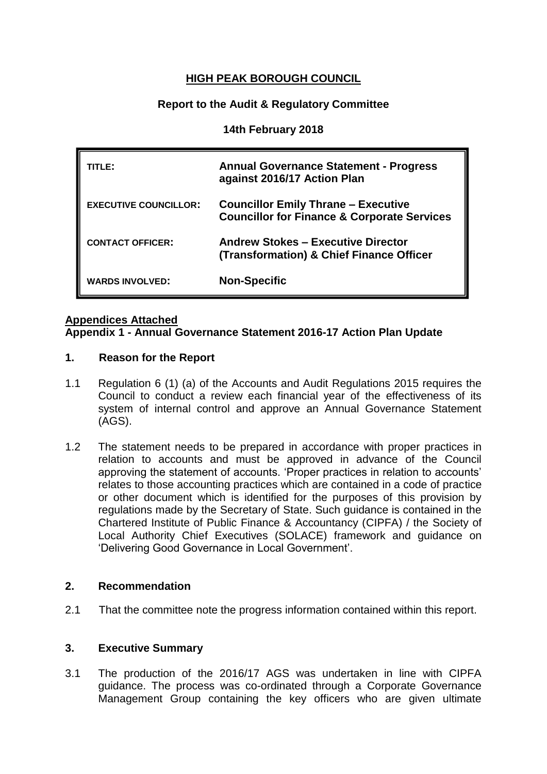# **HIGH PEAK BOROUGH COUNCIL**

## **Report to the Audit & Regulatory Committee**

### **14th February 2018**

| TITLE:                       | <b>Annual Governance Statement - Progress</b><br>against 2016/17 Action Plan                         |
|------------------------------|------------------------------------------------------------------------------------------------------|
| <b>EXECUTIVE COUNCILLOR:</b> | <b>Councillor Emily Thrane - Executive</b><br><b>Councillor for Finance &amp; Corporate Services</b> |
| <b>CONTACT OFFICER:</b>      | <b>Andrew Stokes - Executive Director</b><br><b>(Transformation) &amp; Chief Finance Officer</b>     |
| <b>WARDS INVOLVED:</b>       | <b>Non-Specific</b>                                                                                  |

### **Appendices Attached**

### **Appendix 1 - Annual Governance Statement 2016-17 Action Plan Update**

#### **1. Reason for the Report**

- 1.1 Regulation 6 (1) (a) of the Accounts and Audit Regulations 2015 requires the Council to conduct a review each financial year of the effectiveness of its system of internal control and approve an Annual Governance Statement (AGS).
- 1.2 The statement needs to be prepared in accordance with proper practices in relation to accounts and must be approved in advance of the Council approving the statement of accounts. 'Proper practices in relation to accounts' relates to those accounting practices which are contained in a code of practice or other document which is identified for the purposes of this provision by regulations made by the Secretary of State. Such guidance is contained in the Chartered Institute of Public Finance & Accountancy (CIPFA) / the Society of Local Authority Chief Executives (SOLACE) framework and guidance on 'Delivering Good Governance in Local Government'.

## **2. Recommendation**

2.1 That the committee note the progress information contained within this report.

#### **3. Executive Summary**

3.1 The production of the 2016/17 AGS was undertaken in line with CIPFA guidance. The process was co-ordinated through a Corporate Governance Management Group containing the key officers who are given ultimate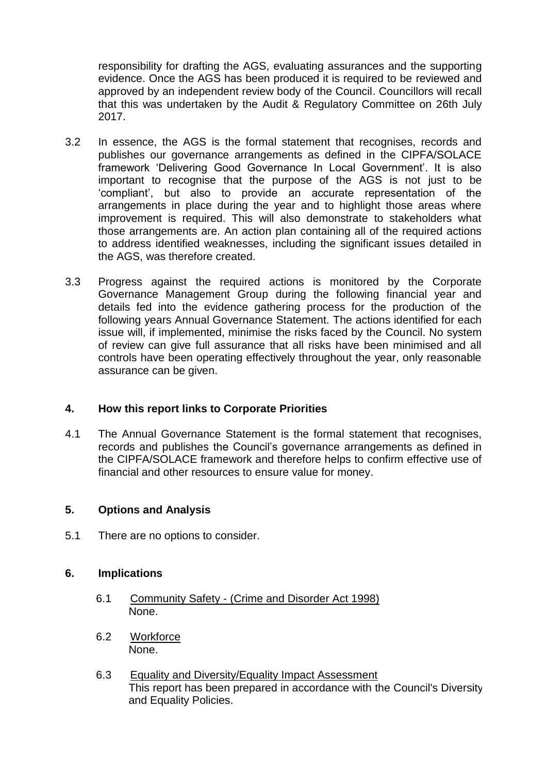responsibility for drafting the AGS, evaluating assurances and the supporting evidence. Once the AGS has been produced it is required to be reviewed and approved by an independent review body of the Council. Councillors will recall that this was undertaken by the Audit & Regulatory Committee on 26th July 2017.

- 3.2 In essence, the AGS is the formal statement that recognises, records and publishes our governance arrangements as defined in the CIPFA/SOLACE framework 'Delivering Good Governance In Local Government'. It is also important to recognise that the purpose of the AGS is not just to be 'compliant', but also to provide an accurate representation of the arrangements in place during the year and to highlight those areas where improvement is required. This will also demonstrate to stakeholders what those arrangements are. An action plan containing all of the required actions to address identified weaknesses, including the significant issues detailed in the AGS, was therefore created.
- 3.3 Progress against the required actions is monitored by the Corporate Governance Management Group during the following financial year and details fed into the evidence gathering process for the production of the following years Annual Governance Statement. The actions identified for each issue will, if implemented, minimise the risks faced by the Council. No system of review can give full assurance that all risks have been minimised and all controls have been operating effectively throughout the year, only reasonable assurance can be given.

## **4. How this report links to Corporate Priorities**

4.1 The Annual Governance Statement is the formal statement that recognises, records and publishes the Council's governance arrangements as defined in the CIPFA/SOLACE framework and therefore helps to confirm effective use of financial and other resources to ensure value for money.

## **5. Options and Analysis**

5.1 There are no options to consider.

## **6. Implications**

- 6.1 Community Safety (Crime and Disorder Act 1998) None.
- 6.2 Workforce None.
- 6.3 Equality and Diversity/Equality Impact Assessment This report has been prepared in accordance with the Council's Diversity and Equality Policies.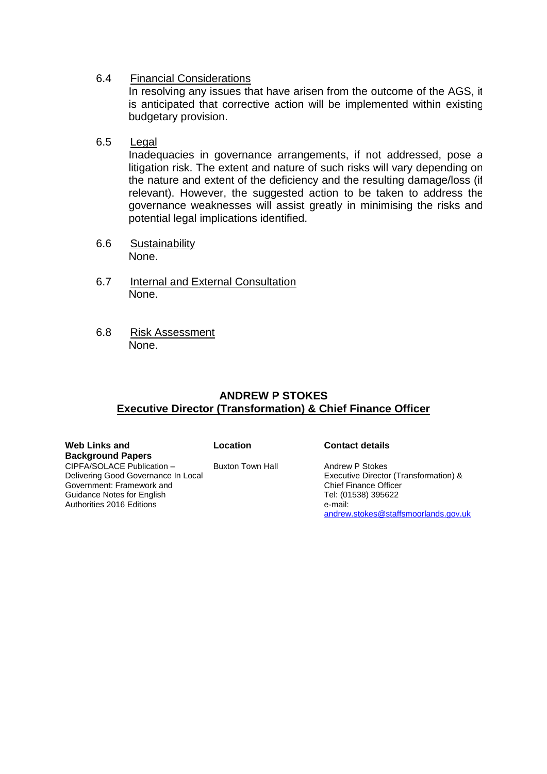6.4 Financial Considerations

In resolving any issues that have arisen from the outcome of the AGS, it is anticipated that corrective action will be implemented within existing budgetary provision.

6.5 Legal

Inadequacies in governance arrangements, if not addressed, pose a litigation risk. The extent and nature of such risks will vary depending on the nature and extent of the deficiency and the resulting damage/loss (if relevant). However, the suggested action to be taken to address the governance weaknesses will assist greatly in minimising the risks and potential legal implications identified.

- 6.6 Sustainability None.
- 6.7 Internal and External Consultation None.
- 6.8 Risk Assessment None.

## **ANDREW P STOKES Executive Director (Transformation) & Chief Finance Officer**

| Web Links and                       | Location         | <b>Contact details</b>                |
|-------------------------------------|------------------|---------------------------------------|
| <b>Background Papers</b>            |                  |                                       |
| CIPFA/SOLACE Publication -          | Buxton Town Hall | Andrew P Stokes                       |
| Delivering Good Governance In Local |                  | Executive Director (Transformation) & |
| Government: Framework and           |                  | <b>Chief Finance Officer</b>          |
| Guidance Notes for English          |                  | Tel: (01538) 395622                   |
| Authorities 2016 Editions           |                  | e-mail:                               |
|                                     |                  | andrew.stokes@staffsmoorlands.gov.uk  |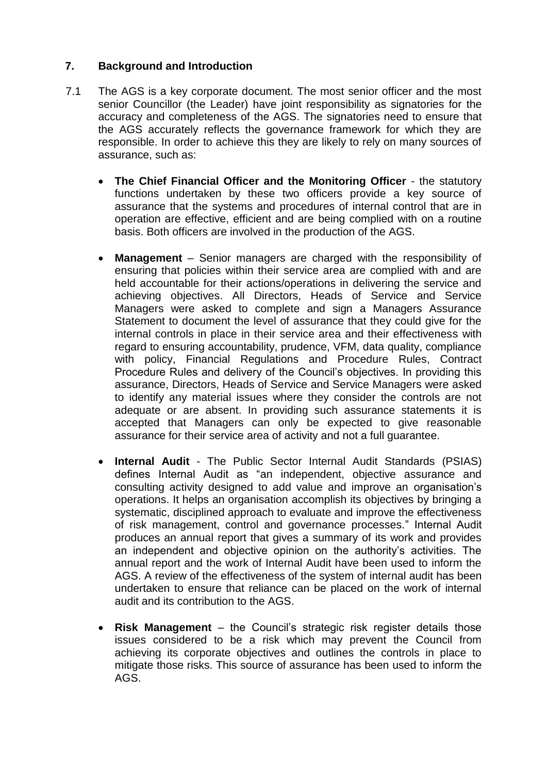## **7. Background and Introduction**

- 7.1 The AGS is a key corporate document. The most senior officer and the most senior Councillor (the Leader) have joint responsibility as signatories for the accuracy and completeness of the AGS. The signatories need to ensure that the AGS accurately reflects the governance framework for which they are responsible. In order to achieve this they are likely to rely on many sources of assurance, such as:
	- **The Chief Financial Officer and the Monitoring Officer** the statutory functions undertaken by these two officers provide a key source of assurance that the systems and procedures of internal control that are in operation are effective, efficient and are being complied with on a routine basis. Both officers are involved in the production of the AGS.
	- **Management** Senior managers are charged with the responsibility of ensuring that policies within their service area are complied with and are held accountable for their actions/operations in delivering the service and achieving objectives. All Directors, Heads of Service and Service Managers were asked to complete and sign a Managers Assurance Statement to document the level of assurance that they could give for the internal controls in place in their service area and their effectiveness with regard to ensuring accountability, prudence, VFM, data quality, compliance with policy, Financial Regulations and Procedure Rules, Contract Procedure Rules and delivery of the Council's objectives. In providing this assurance, Directors, Heads of Service and Service Managers were asked to identify any material issues where they consider the controls are not adequate or are absent. In providing such assurance statements it is accepted that Managers can only be expected to give reasonable assurance for their service area of activity and not a full guarantee.
	- **Internal Audit** The Public Sector Internal Audit Standards (PSIAS) defines Internal Audit as "an independent, objective assurance and consulting activity designed to add value and improve an organisation's operations. It helps an organisation accomplish its objectives by bringing a systematic, disciplined approach to evaluate and improve the effectiveness of risk management, control and governance processes." Internal Audit produces an annual report that gives a summary of its work and provides an independent and objective opinion on the authority's activities. The annual report and the work of Internal Audit have been used to inform the AGS. A review of the effectiveness of the system of internal audit has been undertaken to ensure that reliance can be placed on the work of internal audit and its contribution to the AGS.
	- **Risk Management** the Council's strategic risk register details those issues considered to be a risk which may prevent the Council from achieving its corporate objectives and outlines the controls in place to mitigate those risks. This source of assurance has been used to inform the AGS.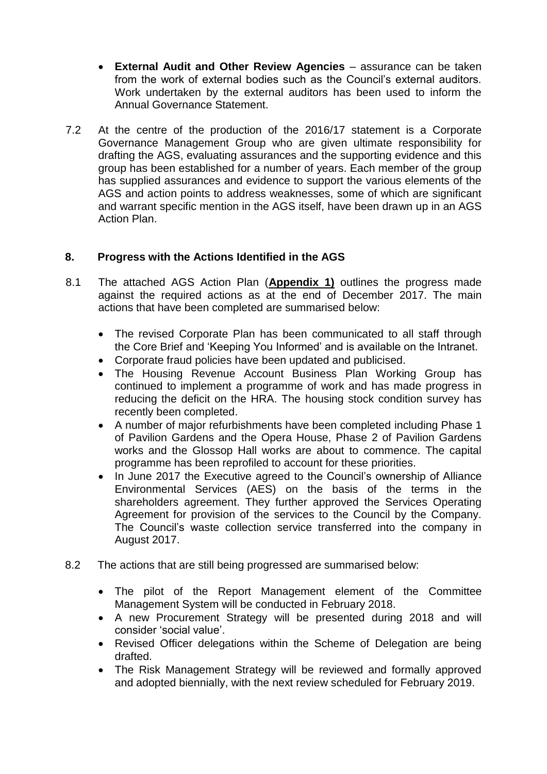- **External Audit and Other Review Agencies** assurance can be taken from the work of external bodies such as the Council's external auditors. Work undertaken by the external auditors has been used to inform the Annual Governance Statement.
- 7.2 At the centre of the production of the 2016/17 statement is a Corporate Governance Management Group who are given ultimate responsibility for drafting the AGS, evaluating assurances and the supporting evidence and this group has been established for a number of years. Each member of the group has supplied assurances and evidence to support the various elements of the AGS and action points to address weaknesses, some of which are significant and warrant specific mention in the AGS itself, have been drawn up in an AGS Action Plan.

# **8. Progress with the Actions Identified in the AGS**

- 8.1 The attached AGS Action Plan (**Appendix 1)** outlines the progress made against the required actions as at the end of December 2017. The main actions that have been completed are summarised below:
	- The revised Corporate Plan has been communicated to all staff through the Core Brief and 'Keeping You Informed' and is available on the Intranet.
	- Corporate fraud policies have been updated and publicised.
	- The Housing Revenue Account Business Plan Working Group has continued to implement a programme of work and has made progress in reducing the deficit on the HRA. The housing stock condition survey has recently been completed.
	- A number of major refurbishments have been completed including Phase 1 of Pavilion Gardens and the Opera House, Phase 2 of Pavilion Gardens works and the Glossop Hall works are about to commence. The capital programme has been reprofiled to account for these priorities.
	- In June 2017 the Executive agreed to the Council's ownership of Alliance Environmental Services (AES) on the basis of the terms in the shareholders agreement. They further approved the Services Operating Agreement for provision of the services to the Council by the Company. The Council's waste collection service transferred into the company in August 2017.
- 8.2 The actions that are still being progressed are summarised below:
	- The pilot of the Report Management element of the Committee Management System will be conducted in February 2018.
	- A new Procurement Strategy will be presented during 2018 and will consider 'social value'.
	- Revised Officer delegations within the Scheme of Delegation are being drafted.
	- The Risk Management Strategy will be reviewed and formally approved and adopted biennially, with the next review scheduled for February 2019.